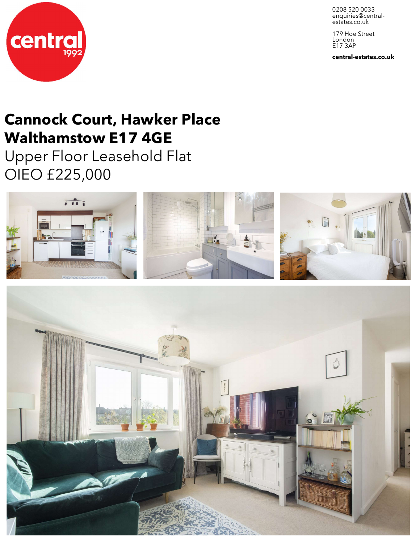0208 520 0033 enquiries@central-<br>estates.co.uk

179 Hoe Street London E17 3AP

**central-estates.co.uk**



# **Cannock Court, Hawker Place Walthamstow E17 4GE**

Upper Floor Leasehold Flat OIEO £225,000